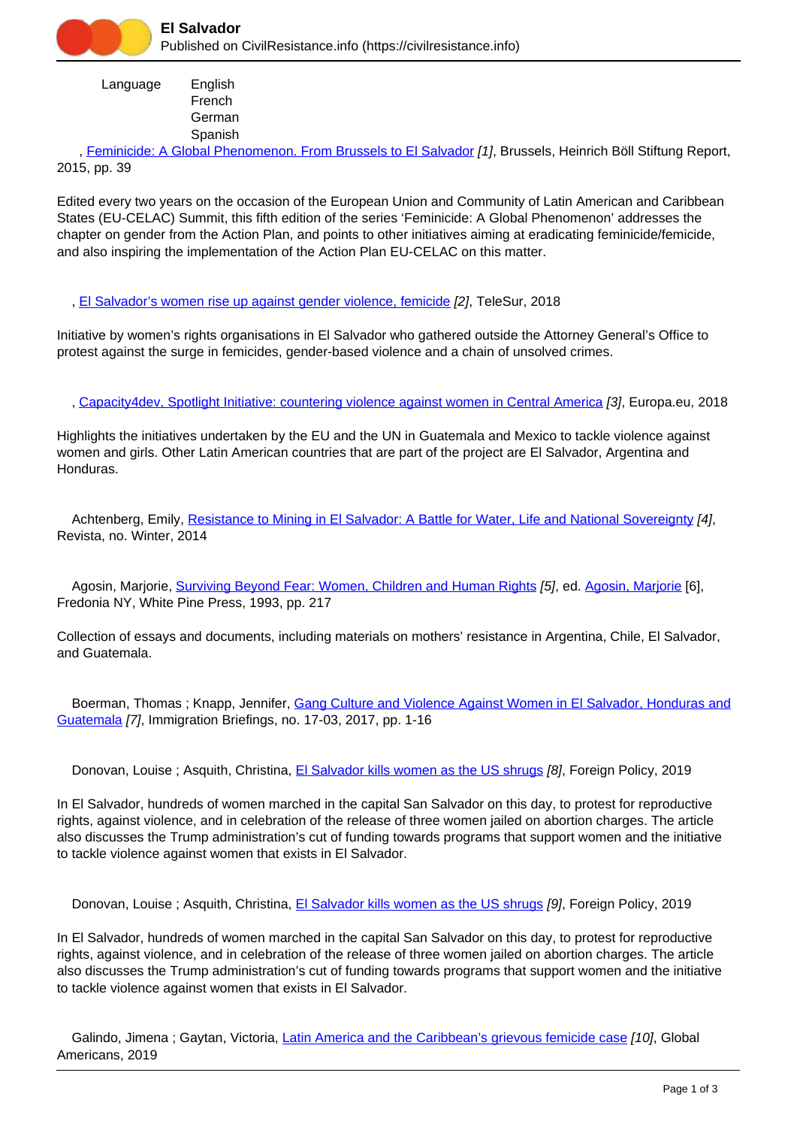

 Language English French German Spanish

 , [Feminicide: A Global Phenomenon. From Brussels to El Salvador](https://civilresistance.info/biblio-item/2015/feminicide-global-phenomenon-brussels-el-salvador) [1], Brussels, Heinrich Böll Stiftung Report, 2015, pp. 39

Edited every two years on the occasion of the European Union and Community of Latin American and Caribbean States (EU-CELAC) Summit, this fifth edition of the series 'Feminicide: A Global Phenomenon' addresses the chapter on gender from the Action Plan, and points to other initiatives aiming at eradicating feminicide/femicide, and also inspiring the implementation of the Action Plan EU-CELAC on this matter.

, [El Salvador's women rise up against gender violence, femicide](https://civilresistance.info/biblio-item/2018/el-salvadors-women-rise-against-gender-violence-femicide) [2], TeleSur, 2018

Initiative by women's rights organisations in El Salvador who gathered outside the Attorney General's Office to protest against the surge in femicides, gender-based violence and a chain of unsolved crimes.

, [Capacity4dev, Spotlight Initiative: countering violence against women in Central America](https://civilresistance.info/biblio-item/2018/capacity4dev-spotlight-initiative-countering-violence-against-women-central-america) [3], Europa.eu, 2018

Highlights the initiatives undertaken by the EU and the UN in Guatemala and Mexico to tackle violence against women and girls. Other Latin American countries that are part of the project are El Salvador, Argentina and Honduras.

Achtenberg, Emily, [Resistance to Mining in El Salvador: A Battle for Water, Life and National Sovereignty](https://civilresistance.info/biblio-item/2014/resistance-mining-el-salvador-battle-water-life-and-national-sovereignty) [4], Revista, no. Winter, 2014

 Agosin, Marjorie, [Surviving Beyond Fear: Women, Children and Human Rights](https://civilresistance.info/biblio-item/1993/surviving-beyond-fear-women-children-and-human-rights) [5], ed. [Agosin, Marjorie](https://civilresistance.info/author/876) [6], Fredonia NY, White Pine Press, 1993, pp. 217

Collection of essays and documents, including materials on mothers' resistance in Argentina, Chile, El Salvador, and Guatemala.

Boerman, Thomas; Knapp, Jennifer, [Gang Culture and Violence Against Women in El Salvador, Honduras and](https://civilresistance.info/biblio-item/2017/gang-culture-and-violence-against-women-el-salvador-honduras-and-guatemala) [Guatemala](https://civilresistance.info/biblio-item/2017/gang-culture-and-violence-against-women-el-salvador-honduras-and-guatemala) [7], Immigration Briefings, no. 17-03, 2017, pp. 1-16

Donovan, Louise ; Asquith, Christina, [El Salvador kills women as the US shrugs](https://civilresistance.info/biblio-item/2019/el-salvador-kills-women-us-shrugs-0) [8], Foreign Policy, 2019

In El Salvador, hundreds of women marched in the capital San Salvador on this day, to protest for reproductive rights, against violence, and in celebration of the release of three women jailed on abortion charges. The article also discusses the Trump administration's cut of funding towards programs that support women and the initiative to tackle violence against women that exists in El Salvador.

Donovan, Louise ; Asquith, Christina, [El Salvador kills women as the US shrugs](https://civilresistance.info/biblio-item/2019/el-salvador-kills-women-us-shrugs) [9], Foreign Policy, 2019

In El Salvador, hundreds of women marched in the capital San Salvador on this day, to protest for reproductive rights, against violence, and in celebration of the release of three women jailed on abortion charges. The article also discusses the Trump administration's cut of funding towards programs that support women and the initiative to tackle violence against women that exists in El Salvador.

Galindo, Jimena; Gaytan, Victoria, [Latin America and the Caribbean's grievous femicide case](https://civilresistance.info/biblio-item/2019/latin-america-and-caribbeans-grievous-femicide-case) [10], Global Americans, 2019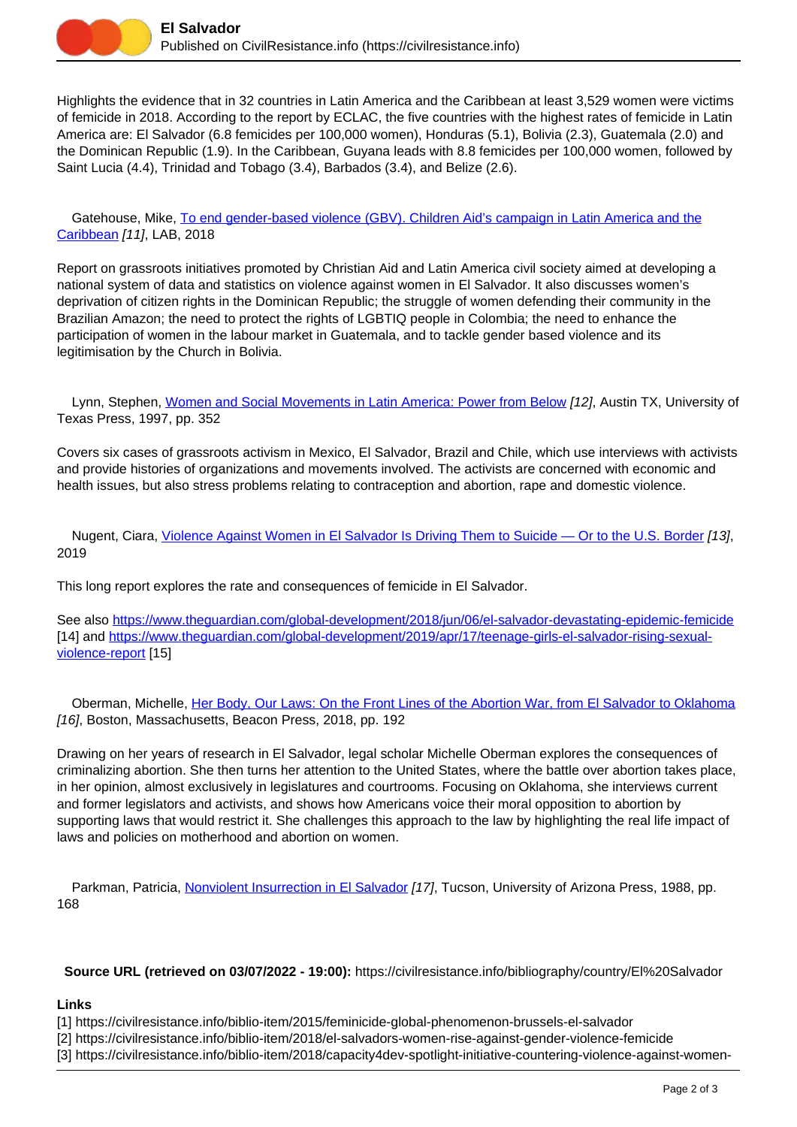

Highlights the evidence that in 32 countries in Latin America and the Caribbean at least 3,529 women were victims of femicide in 2018. According to the report by ECLAC, the five countries with the highest rates of femicide in Latin America are: El Salvador (6.8 femicides per 100,000 women), Honduras (5.1), Bolivia (2.3), Guatemala (2.0) and the Dominican Republic (1.9). In the Caribbean, Guyana leads with 8.8 femicides per 100,000 women, followed by Saint Lucia (4.4), Trinidad and Tobago (3.4), Barbados (3.4), and Belize (2.6).

 Gatehouse, Mike, [To end gender-based violence \(GBV\). Children Aid's campaign in Latin America and the](https://civilresistance.info/biblio-item/2018/end-gender-based-violence-gbv-children-aids-campaign-latin-america-and-caribbean) [Caribbean](https://civilresistance.info/biblio-item/2018/end-gender-based-violence-gbv-children-aids-campaign-latin-america-and-caribbean) [11], LAB, 2018

Report on grassroots initiatives promoted by Christian Aid and Latin America civil society aimed at developing a national system of data and statistics on violence against women in El Salvador. It also discusses women's deprivation of citizen rights in the Dominican Republic; the struggle of women defending their community in the Brazilian Amazon; the need to protect the rights of LGBTIQ people in Colombia; the need to enhance the participation of women in the labour market in Guatemala, and to tackle gender based violence and its legitimisation by the Church in Bolivia.

 Lynn, Stephen, [Women and Social Movements in Latin America: Power from Below](https://civilresistance.info/biblio-item/1997/women-and-social-movements-latin-america-power-below) [12], Austin TX, University of Texas Press, 1997, pp. 352

Covers six cases of grassroots activism in Mexico, El Salvador, Brazil and Chile, which use interviews with activists and provide histories of organizations and movements involved. The activists are concerned with economic and health issues, but also stress problems relating to contraception and abortion, rape and domestic violence.

 Nugent, Ciara, [Violence Against Women in El Salvador Is Driving Them to Suicide — Or to the U.S. Border](https://civilresistance.info/biblio-item/2019/violence-against-women-el-salvador-driving-them-suicide-or-us-border) [13], 2019

This long report explores the rate and consequences of femicide in El Salvador.

See also<https://www.theguardian.com/global-development/2018/jun/06/el-salvador-devastating-epidemic-femicide> [14] and [https://www.theguardian.com/global-development/2019/apr/17/teenage-girls-el-salvador-rising-sexual](https://www.theguardian.com/global-development/2019/apr/17/teenage-girls-el-salvador-rising-sexual-violence-report)[violence-report](https://www.theguardian.com/global-development/2019/apr/17/teenage-girls-el-salvador-rising-sexual-violence-report) [15]

 Oberman, Michelle, [Her Body, Our Laws: On the Front Lines of the Abortion War, from El Salvador to Oklahoma](https://civilresistance.info/biblio-item/2018/her-body-our-laws-front-lines-abortion-war-el-salvador-oklahoma) [16], Boston, Massachusetts, Beacon Press, 2018, pp. 192

Drawing on her years of research in El Salvador, legal scholar Michelle Oberman explores the consequences of criminalizing abortion. She then turns her attention to the United States, where the battle over abortion takes place, in her opinion, almost exclusively in legislatures and courtrooms. Focusing on Oklahoma, she interviews current and former legislators and activists, and shows how Americans voice their moral opposition to abortion by supporting laws that would restrict it. She challenges this approach to the law by highlighting the real life impact of laws and policies on motherhood and abortion on women.

Parkman, Patricia, [Nonviolent Insurrection in El Salvador](https://civilresistance.info/biblio-item/1988/nonviolent-insurrection-el-salvador) [17], Tucson, University of Arizona Press, 1988, pp. 168

**Source URL (retrieved on 03/07/2022 - 19:00):** https://civilresistance.info/bibliography/country/El%20Salvador

## **Links**

[1] https://civilresistance.info/biblio-item/2015/feminicide-global-phenomenon-brussels-el-salvador

[2] https://civilresistance.info/biblio-item/2018/el-salvadors-women-rise-against-gender-violence-femicide

[3] https://civilresistance.info/biblio-item/2018/capacity4dev-spotlight-initiative-countering-violence-against-women-